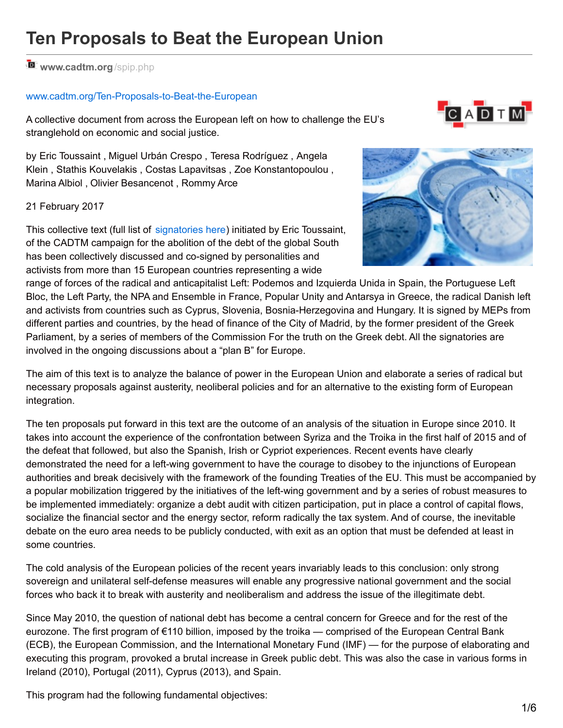# *M* [www.cadtm.org](http://www.cadtm.org/spip.php?page=imprimer&id_article=14548)/spip.php

#### [www.cadtm.org/Ten-Proposals-to-Beat-the-European](http://www.cadtm.org/Ten-Proposals-to-Beat-the-European)

A collective document from across the European left on how to challenge the EU's stranglehold on economic and social justice.



by Eric Toussaint , Miguel Urbán Crespo , Teresa Rodríguez , Angela Klein , Stathis Kouvelakis , Costas Lapavitsas , Zoe Konstantopoulou , Marina Albiol , Olivier Besancenot , Rommy Arce

#### 21 February 2017

This collective text (full list of [signatories](http://www.cadtm.org/The-Challenges-of-the-Left-in-the) here) initiated by Eric Toussaint, of the CADTM campaign for the abolition of the debt of the global South has been collectively discussed and co-signed by personalities and activists from more than 15 European countries representing a wide



range of forces of the radical and anticapitalist Left: Podemos and Izquierda Unida in Spain, the Portuguese Left Bloc, the Left Party, the NPA and Ensemble in France, Popular Unity and Antarsya in Greece, the radical Danish left and activists from countries such as Cyprus, Slovenia, Bosnia-Herzegovina and Hungary. It is signed by MEPs from different parties and countries, by the head of finance of the City of Madrid, by the former president of the Greek Parliament, by a series of members of the Commission For the truth on the Greek debt. All the signatories are involved in the ongoing discussions about a "plan B" for Europe.

The aim of this text is to analyze the balance of power in the European Union and elaborate a series of radical but necessary proposals against austerity, neoliberal policies and for an alternative to the existing form of European integration.

The ten proposals put forward in this text are the outcome of an analysis of the situation in Europe since 2010. It takes into account the experience of the confrontation between Syriza and the Troika in the first half of 2015 and of the defeat that followed, but also the Spanish, Irish or Cypriot experiences. Recent events have clearly demonstrated the need for a left-wing government to have the courage to disobey to the injunctions of European authorities and break decisively with the framework of the founding Treaties of the EU. This must be accompanied by a popular mobilization triggered by the initiatives of the left-wing government and by a series of robust measures to be implemented immediately: organize a debt audit with citizen participation, put in place a control of capital flows, socialize the financial sector and the energy sector, reform radically the tax system. And of course, the inevitable debate on the euro area needs to be publicly conducted, with exit as an option that must be defended at least in some countries.

The cold analysis of the European policies of the recent years invariably leads to this conclusion: only strong sovereign and unilateral self-defense measures will enable any progressive national government and the social forces who back it to break with austerity and neoliberalism and address the issue of the illegitimate debt.

Since May 2010, the question of national debt has become a central concern for Greece and for the rest of the eurozone. The first program of €110 billion, imposed by the troika — comprised of the European Central Bank (ECB), the European Commission, and the International Monetary Fund (IMF) — for the purpose of elaborating and executing this program, provoked a brutal increase in Greek public debt. This was also the case in various forms in Ireland (2010), Portugal (2011), Cyprus (2013), and Spain.

This program had the following fundamental objectives: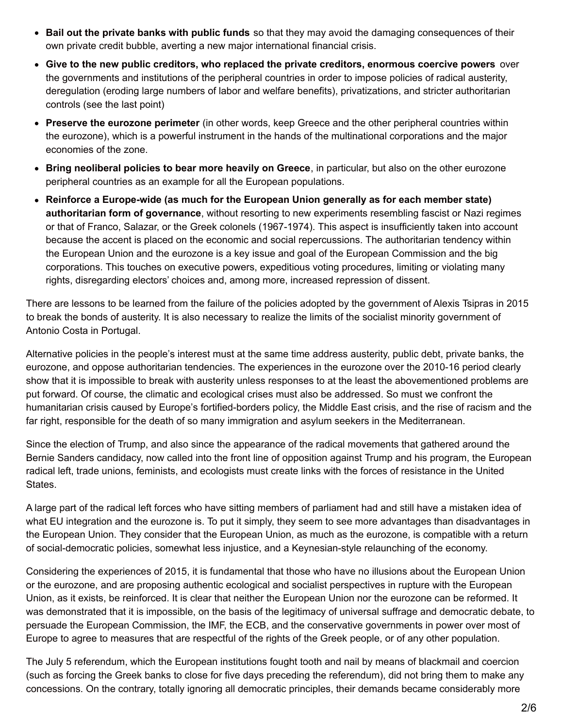- **Bail out the private banks with public funds** so that they may avoid the damaging consequences of their own private credit bubble, averting a new major international financial crisis.
- **Give to the new public creditors, who replaced the private creditors, enormous coercive powers** over the governments and institutions of the peripheral countries in order to impose policies of radical austerity, deregulation (eroding large numbers of labor and welfare benefits), privatizations, and stricter authoritarian controls (see the last point)
- **Preserve the eurozone perimeter** (in other words, keep Greece and the other peripheral countries within the eurozone), which is a powerful instrument in the hands of the multinational corporations and the major economies of the zone.
- **Bring neoliberal policies to bear more heavily on Greece**, in particular, but also on the other eurozone peripheral countries as an example for all the European populations.
- **Reinforce a Europe-wide (as much for the European Union generally as for each member state) authoritarian form of governance**, without resorting to new experiments resembling fascist or Nazi regimes or that of Franco, Salazar, or the Greek colonels (1967-1974). This aspect is insufficiently taken into account because the accent is placed on the economic and social repercussions. The authoritarian tendency within the European Union and the eurozone is a key issue and goal of the European Commission and the big corporations. This touches on executive powers, expeditious voting procedures, limiting or violating many rights, disregarding electors' choices and, among more, increased repression of dissent.

There are lessons to be learned from the failure of the policies adopted by the government of Alexis Tsipras in 2015 to break the bonds of austerity. It is also necessary to realize the limits of the socialist minority government of Antonio Costa in Portugal.

Alternative policies in the people's interest must at the same time address austerity, public debt, private banks, the eurozone, and oppose authoritarian tendencies. The experiences in the eurozone over the 2010-16 period clearly show that it is impossible to break with austerity unless responses to at the least the abovementioned problems are put forward. Of course, the climatic and ecological crises must also be addressed. So must we confront the humanitarian crisis caused by Europe's fortified-borders policy, the Middle East crisis, and the rise of racism and the far right, responsible for the death of so many immigration and asylum seekers in the Mediterranean.

Since the election of Trump, and also since the appearance of the radical movements that gathered around the Bernie Sanders candidacy, now called into the front line of opposition against Trump and his program, the European radical left, trade unions, feminists, and ecologists must create links with the forces of resistance in the United States.

A large part of the radical left forces who have sitting members of parliament had and still have a mistaken idea of what EU integration and the eurozone is. To put it simply, they seem to see more advantages than disadvantages in the European Union. They consider that the European Union, as much as the eurozone, is compatible with a return of social-democratic policies, somewhat less injustice, and a Keynesian-style relaunching of the economy.

Considering the experiences of 2015, it is fundamental that those who have no illusions about the European Union or the eurozone, and are proposing authentic ecological and socialist perspectives in rupture with the European Union, as it exists, be reinforced. It is clear that neither the European Union nor the eurozone can be reformed. It was demonstrated that it is impossible, on the basis of the legitimacy of universal suffrage and democratic debate, to persuade the European Commission, the IMF, the ECB, and the conservative governments in power over most of Europe to agree to measures that are respectful of the rights of the Greek people, or of any other population.

The July 5 referendum, which the European institutions fought tooth and nail by means of blackmail and coercion (such as forcing the Greek banks to close for five days preceding the referendum), did not bring them to make any concessions. On the contrary, totally ignoring all democratic principles, their demands became considerably more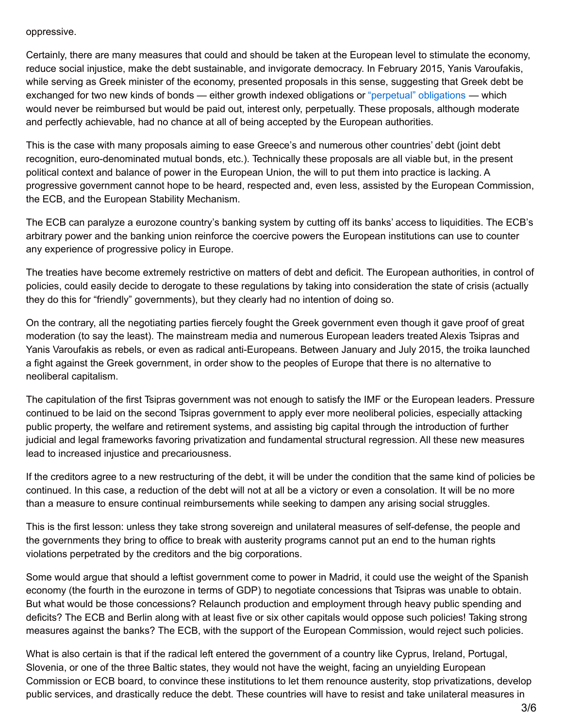#### oppressive.

Certainly, there are many measures that could and should be taken at the European level to stimulate the economy, reduce social injustice, make the debt sustainable, and invigorate democracy. In February 2015, Yanis Varoufakis, while serving as Greek minister of the economy, presented proposals in this sense, suggesting that Greek debt be exchanged for two new kinds of bonds — either growth indexed obligations or ["perpetual"](http://www.latribune.fr/actualites/economie/union-europeenne/20150203trib85abe7370/les-propositions-grecques-pour-restructurer-la-dette.html) obligations — which would never be reimbursed but would be paid out, interest only, perpetually. These proposals, although moderate and perfectly achievable, had no chance at all of being accepted by the European authorities.

This is the case with many proposals aiming to ease Greece's and numerous other countries' debt (joint debt recognition, euro-denominated mutual bonds, etc.). Technically these proposals are all viable but, in the present political context and balance of power in the European Union, the will to put them into practice is lacking. A progressive government cannot hope to be heard, respected and, even less, assisted by the European Commission, the ECB, and the European Stability Mechanism.

The ECB can paralyze a eurozone country's banking system by cutting off its banks' access to liquidities. The ECB's arbitrary power and the banking union reinforce the coercive powers the European institutions can use to counter any experience of progressive policy in Europe.

The treaties have become extremely restrictive on matters of debt and deficit. The European authorities, in control of policies, could easily decide to derogate to these regulations by taking into consideration the state of crisis (actually they do this for "friendly" governments), but they clearly had no intention of doing so.

On the contrary, all the negotiating parties fiercely fought the Greek government even though it gave proof of great moderation (to say the least). The mainstream media and numerous European leaders treated Alexis Tsipras and Yanis Varoufakis as rebels, or even as radical anti-Europeans. Between January and July 2015, the troika launched a fight against the Greek government, in order show to the peoples of Europe that there is no alternative to neoliberal capitalism.

The capitulation of the first Tsipras government was not enough to satisfy the IMF or the European leaders. Pressure continued to be laid on the second Tsipras government to apply ever more neoliberal policies, especially attacking public property, the welfare and retirement systems, and assisting big capital through the introduction of further judicial and legal frameworks favoring privatization and fundamental structural regression. All these new measures lead to increased injustice and precariousness.

If the creditors agree to a new restructuring of the debt, it will be under the condition that the same kind of policies be continued. In this case, a reduction of the debt will not at all be a victory or even a consolation. It will be no more than a measure to ensure continual reimbursements while seeking to dampen any arising social struggles.

This is the first lesson: unless they take strong sovereign and unilateral measures of self-defense, the people and the governments they bring to office to break with austerity programs cannot put an end to the human rights violations perpetrated by the creditors and the big corporations.

Some would argue that should a leftist government come to power in Madrid, it could use the weight of the Spanish economy (the fourth in the eurozone in terms of GDP) to negotiate concessions that Tsipras was unable to obtain. But what would be those concessions? Relaunch production and employment through heavy public spending and deficits? The ECB and Berlin along with at least five or six other capitals would oppose such policies! Taking strong measures against the banks? The ECB, with the support of the European Commission, would reject such policies.

What is also certain is that if the radical left entered the government of a country like Cyprus, Ireland, Portugal, Slovenia, or one of the three Baltic states, they would not have the weight, facing an unyielding European Commission or ECB board, to convince these institutions to let them renounce austerity, stop privatizations, develop public services, and drastically reduce the debt. These countries will have to resist and take unilateral measures in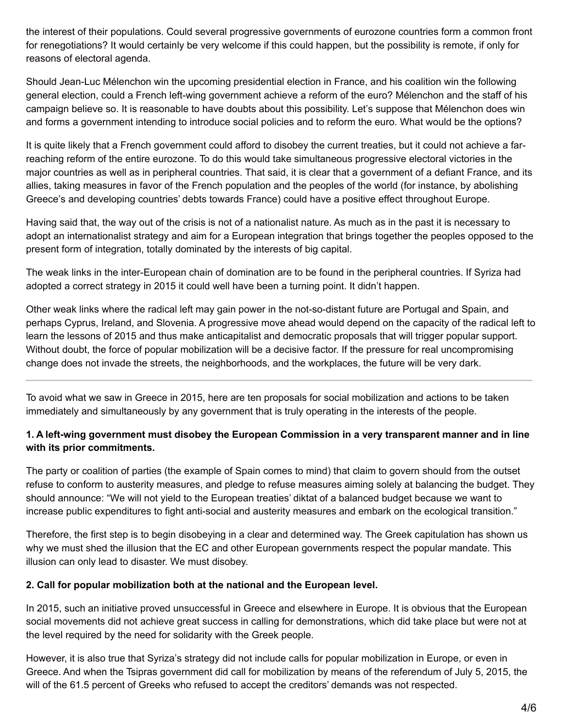the interest of their populations. Could several progressive governments of eurozone countries form a common front for renegotiations? It would certainly be very welcome if this could happen, but the possibility is remote, if only for reasons of electoral agenda.

Should Jean-Luc Mélenchon win the upcoming presidential election in France, and his coalition win the following general election, could a French left-wing government achieve a reform of the euro? Mélenchon and the staff of his campaign believe so. It is reasonable to have doubts about this possibility. Let's suppose that Mélenchon does win and forms a government intending to introduce social policies and to reform the euro. What would be the options?

It is quite likely that a French government could afford to disobey the current treaties, but it could not achieve a farreaching reform of the entire eurozone. To do this would take simultaneous progressive electoral victories in the major countries as well as in peripheral countries. That said, it is clear that a government of a defiant France, and its allies, taking measures in favor of the French population and the peoples of the world (for instance, by abolishing Greece's and developing countries' debts towards France) could have a positive effect throughout Europe.

Having said that, the way out of the crisis is not of a nationalist nature. As much as in the past it is necessary to adopt an internationalist strategy and aim for a European integration that brings together the peoples opposed to the present form of integration, totally dominated by the interests of big capital.

The weak links in the inter-European chain of domination are to be found in the peripheral countries. If Syriza had adopted a correct strategy in 2015 it could well have been a turning point. It didn't happen.

Other weak links where the radical left may gain power in the not-so-distant future are Portugal and Spain, and perhaps Cyprus, Ireland, and Slovenia. A progressive move ahead would depend on the capacity of the radical left to learn the lessons of 2015 and thus make anticapitalist and democratic proposals that will trigger popular support. Without doubt, the force of popular mobilization will be a decisive factor. If the pressure for real uncompromising change does not invade the streets, the neighborhoods, and the workplaces, the future will be very dark.

To avoid what we saw in Greece in 2015, here are ten proposals for social mobilization and actions to be taken immediately and simultaneously by any government that is truly operating in the interests of the people.

### **1. A left-wing government must disobey the European Commission in a very transparent manner and in line with its prior commitments.**

The party or coalition of parties (the example of Spain comes to mind) that claim to govern should from the outset refuse to conform to austerity measures, and pledge to refuse measures aiming solely at balancing the budget. They should announce: "We will not yield to the European treaties' diktat of a balanced budget because we want to increase public expenditures to fight anti-social and austerity measures and embark on the ecological transition."

Therefore, the first step is to begin disobeying in a clear and determined way. The Greek capitulation has shown us why we must shed the illusion that the EC and other European governments respect the popular mandate. This illusion can only lead to disaster. We must disobey.

### **2. Call for popular mobilization both at the national and the European level.**

In 2015, such an initiative proved unsuccessful in Greece and elsewhere in Europe. It is obvious that the European social movements did not achieve great success in calling for demonstrations, which did take place but were not at the level required by the need for solidarity with the Greek people.

However, it is also true that Syriza's strategy did not include calls for popular mobilization in Europe, or even in Greece. And when the Tsipras government did call for mobilization by means of the referendum of July 5, 2015, the will of the 61.5 percent of Greeks who refused to accept the creditors' demands was not respected.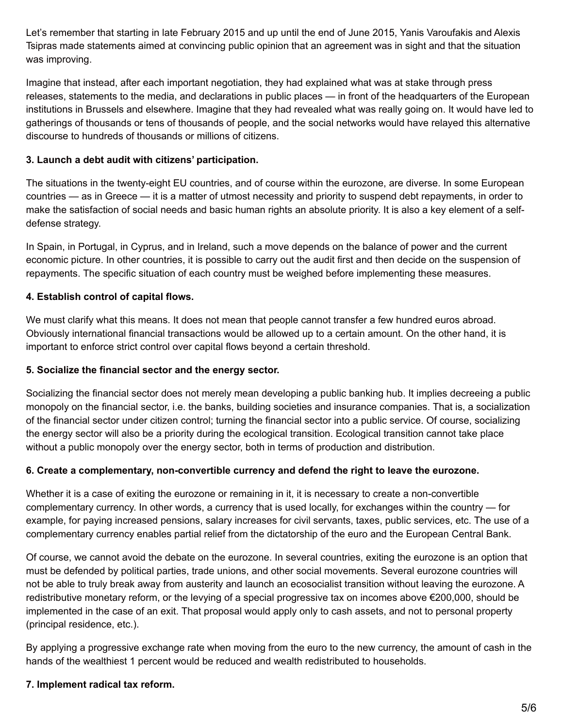Let's remember that starting in late February 2015 and up until the end of June 2015, Yanis Varoufakis and Alexis Tsipras made statements aimed at convincing public opinion that an agreement was in sight and that the situation was improving.

Imagine that instead, after each important negotiation, they had explained what was at stake through press releases, statements to the media, and declarations in public places — in front of the headquarters of the European institutions in Brussels and elsewhere. Imagine that they had revealed what was really going on. It would have led to gatherings of thousands or tens of thousands of people, and the social networks would have relayed this alternative discourse to hundreds of thousands or millions of citizens.

### **3. Launch a debt audit with citizens' participation.**

The situations in the twenty-eight EU countries, and of course within the eurozone, are diverse. In some European countries — as in Greece — it is a matter of utmost necessity and priority to suspend debt repayments, in order to make the satisfaction of social needs and basic human rights an absolute priority. It is also a key element of a selfdefense strategy.

In Spain, in Portugal, in Cyprus, and in Ireland, such a move depends on the balance of power and the current economic picture. In other countries, it is possible to carry out the audit first and then decide on the suspension of repayments. The specific situation of each country must be weighed before implementing these measures.

## **4. Establish control of capital flows.**

We must clarify what this means. It does not mean that people cannot transfer a few hundred euros abroad. Obviously international financial transactions would be allowed up to a certain amount. On the other hand, it is important to enforce strict control over capital flows beyond a certain threshold.

### **5. Socialize the financial sector and the energy sector.**

Socializing the financial sector does not merely mean developing a public banking hub. It implies decreeing a public monopoly on the financial sector, i.e. the banks, building societies and insurance companies. That is, a socialization of the financial sector under citizen control; turning the financial sector into a public service. Of course, socializing the energy sector will also be a priority during the ecological transition. Ecological transition cannot take place without a public monopoly over the energy sector, both in terms of production and distribution.

## **6. Create a complementary, non-convertible currency and defend the right to leave the eurozone.**

Whether it is a case of exiting the eurozone or remaining in it, it is necessary to create a non-convertible complementary currency. In other words, a currency that is used locally, for exchanges within the country — for example, for paying increased pensions, salary increases for civil servants, taxes, public services, etc. The use of a complementary currency enables partial relief from the dictatorship of the euro and the European Central Bank.

Of course, we cannot avoid the debate on the eurozone. In several countries, exiting the eurozone is an option that must be defended by political parties, trade unions, and other social movements. Several eurozone countries will not be able to truly break away from austerity and launch an ecosocialist transition without leaving the eurozone. A redistributive monetary reform, or the levying of a special progressive tax on incomes above €200,000, should be implemented in the case of an exit. That proposal would apply only to cash assets, and not to personal property (principal residence, etc.).

By applying a progressive exchange rate when moving from the euro to the new currency, the amount of cash in the hands of the wealthiest 1 percent would be reduced and wealth redistributed to households.

## **7. Implement radical tax reform.**